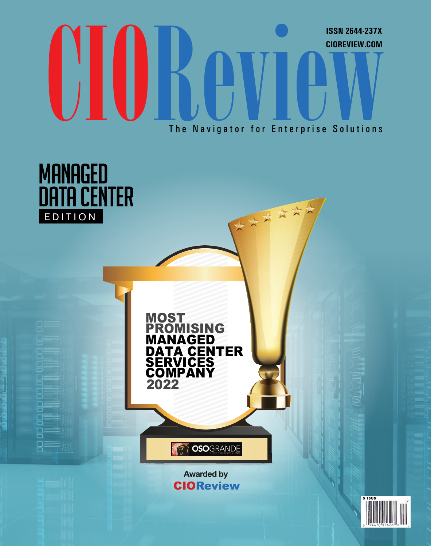## UIOR DU The Navigator for Enterprise Solutions The Navigator for Enterprise Solutions **CIOREVIEW.COM ISSN 2644-237X**